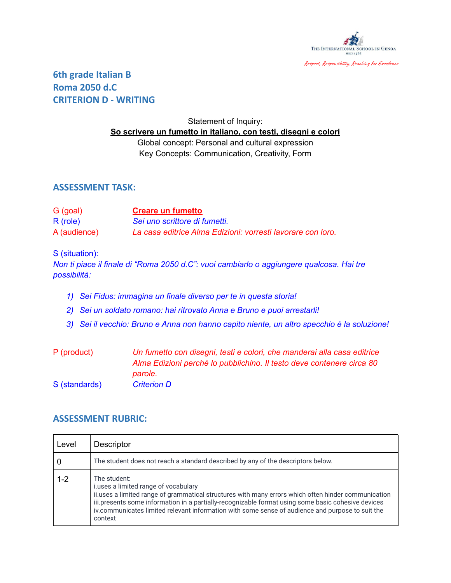

# **6th grade Italian B Roma 2050 d.C CRITERION D - WRITING**

## Statement of Inquiry: **So scrivere un fumetto in italiano, con testi, disegni e colori** Global concept: Personal and cultural expression Key Concepts: Communication, Creativity, Form

### **ASSESSMENT TASK:**

| G (goal)     | <b>Creare un fumetto</b>                                    |
|--------------|-------------------------------------------------------------|
| $R$ (role)   | Sei uno scrittore di fumetti.                               |
| A (audience) | La casa editrice Alma Edizioni: vorresti lavorare con loro. |

#### S (situation):

*Non ti piace il finale di "Roma 2050 d.C": vuoi cambiarlo o aggiungere qualcosa. Hai tre possibilità:*

- *1) Sei Fidus: immagina un finale diverso per te in questa storia!*
- *2) Sei un soldato romano: hai ritrovato Anna e Bruno e puoi arrestarli!*
- *3) Sei il vecchio: Bruno e Anna non hanno capito niente, un altro specchio è la soluzione!*
- P (product) *Un fumetto con disegni, testi e colori, che manderai alla casa editrice Alma Edizioni perché lo pubblichino. Il testo deve contenere circa 80 parole.* S (standards) *Criterion D*

### **ASSESSMENT RUBRIC:**

| Level   | <b>Descriptor</b>                                                                                                                                                                                                                                                                                                                                                                |
|---------|----------------------------------------------------------------------------------------------------------------------------------------------------------------------------------------------------------------------------------------------------------------------------------------------------------------------------------------------------------------------------------|
|         | The student does not reach a standard described by any of the descriptors below.                                                                                                                                                                                                                                                                                                 |
| $1 - 2$ | The student:<br>i.uses a limited range of vocabulary<br>ii.uses a limited range of grammatical structures with many errors which often hinder communication<br>iii.presents some information in a partially-recognizable format using some basic cohesive devices<br>iv.communicates limited relevant information with some sense of audience and purpose to suit the<br>context |